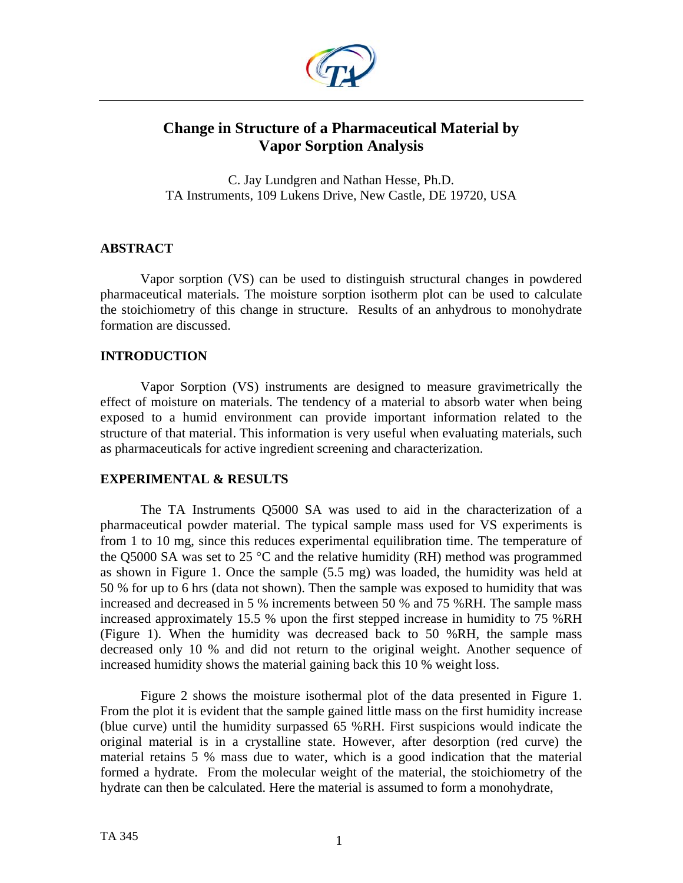

# **Change in Structure of a Pharmaceutical Material by Vapor Sorption Analysis**

C. Jay Lundgren and Nathan Hesse, Ph.D. TA Instruments, 109 Lukens Drive, New Castle, DE 19720, USA

# **ABSTRACT**

Vapor sorption (VS) can be used to distinguish structural changes in powdered pharmaceutical materials. The moisture sorption isotherm plot can be used to calculate the stoichiometry of this change in structure. Results of an anhydrous to monohydrate formation are discussed.

# **INTRODUCTION**

Vapor Sorption (VS) instruments are designed to measure gravimetrically the effect of moisture on materials. The tendency of a material to absorb water when being exposed to a humid environment can provide important information related to the structure of that material. This information is very useful when evaluating materials, such as pharmaceuticals for active ingredient screening and characterization.

# **EXPERIMENTAL & RESULTS**

The TA Instruments Q5000 SA was used to aid in the characterization of a pharmaceutical powder material. The typical sample mass used for VS experiments is from 1 to 10 mg, since this reduces experimental equilibration time. The temperature of the Q5000 SA was set to 25 °C and the relative humidity (RH) method was programmed as shown in Figure 1. Once the sample (5.5 mg) was loaded, the humidity was held at 50 % for up to 6 hrs (data not shown). Then the sample was exposed to humidity that was increased and decreased in 5 % increments between 50 % and 75 %RH. The sample mass increased approximately 15.5 % upon the first stepped increase in humidity to 75 %RH (Figure 1). When the humidity was decreased back to 50 %RH, the sample mass decreased only 10 % and did not return to the original weight. Another sequence of increased humidity shows the material gaining back this 10 % weight loss.

Figure 2 shows the moisture isothermal plot of the data presented in Figure 1. From the plot it is evident that the sample gained little mass on the first humidity increase (blue curve) until the humidity surpassed 65 %RH. First suspicions would indicate the original material is in a crystalline state. However, after desorption (red curve) the material retains 5 % mass due to water, which is a good indication that the material formed a hydrate. From the molecular weight of the material, the stoichiometry of the hydrate can then be calculated. Here the material is assumed to form a monohydrate,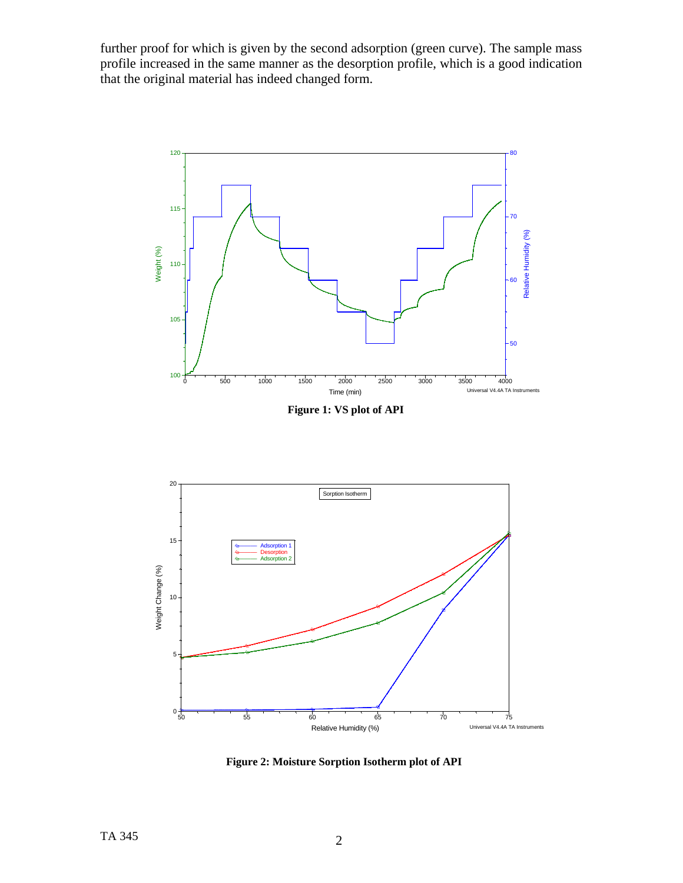further proof for which is given by the second adsorption (green curve). The sample mass profile increased in the same manner as the desorption profile, which is a good indication that the original material has indeed changed form.



 **Figure 1: VS plot of API** 



 **Figure 2: Moisture Sorption Isotherm plot of API**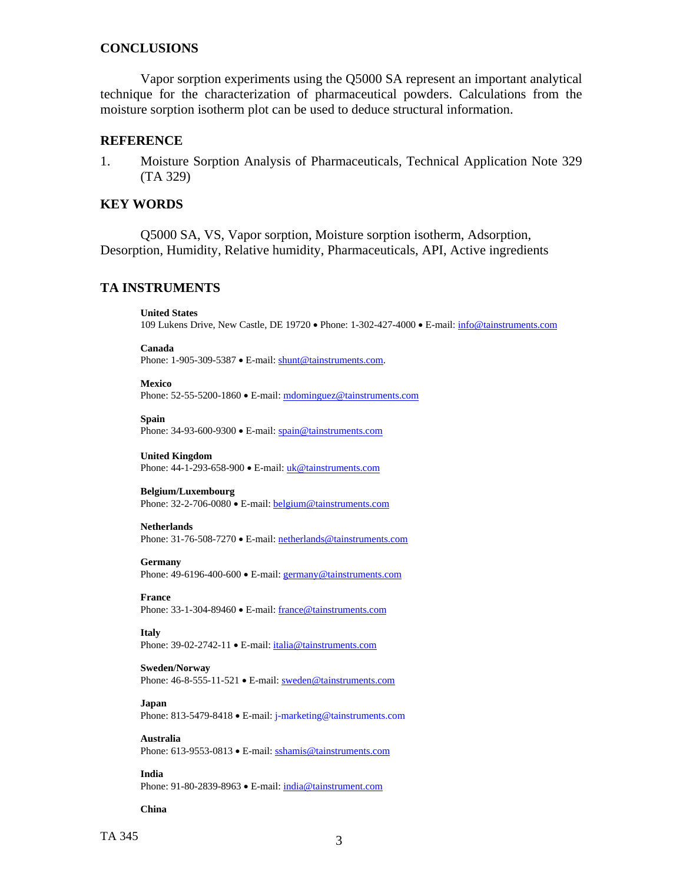### **CONCLUSIONS**

Vapor sorption experiments using the Q5000 SA represent an important analytical technique for the characterization of pharmaceutical powders. Calculations from the moisture sorption isotherm plot can be used to deduce structural information.

### **REFERENCE**

1. Moisture Sorption Analysis of Pharmaceuticals, Technical Application Note 329 (TA 329)

### **KEY WORDS**

Q5000 SA, VS, Vapor sorption, Moisture sorption isotherm, Adsorption, Desorption, Humidity, Relative humidity, Pharmaceuticals, API, Active ingredients

# **TA INSTRUMENTS**

**United States**

109 Lukens Drive, New Castle, DE 19720 • Phone: 1-302-427-4000 • E-mail: [info@tainstruments.com](mailto:info@tainstruments.com) 

**Canada** 

Phone: 1-905-309-5387 • E-mail: [shunt@tainstruments.com.](mailto:shunt@tainstruments.com)

**Mexico** 

Phone: 52-55-5200-1860 • E-mail: mdominguez@tainstruments.com

**Spain**

Phone: 34-93-600-9300 • E-mail: spain@tainstruments.com

**United Kingdom**

Phone: 44-1-293-658-900 • E-mail: uk@tainstruments.com

### **Belgium/Luxembourg**

Phone: 32-2-706-0080 • E-mail: belgium@tainstruments.com

### **Netherlands**

Phone: 31-76-508-7270 • E-mail: [netherlands@tainstruments.com](mailto:netherlands@tainstruments.com)

#### **Germany**

Phone: 49-6196-400-600 • E-mail: [germany@tainstruments.com](mailto:germany@tainstruments.com)

#### **France**

Phone: 33-1-304-89460 • E-mail: [france@tainstruments.com](mailto:france@tainstruments.com)

#### **Italy**

Phone: 39-02-2742-11 • E-mail: [italia@tainstruments.com](mailto:italia@tainstruments.com)

### **Sweden/Norway**

Phone: 46-8-555-11-521 • E-mail: [sweden@tainstruments.com](mailto:sweden@tainstruments.com)

#### **Japan**

Phone: 813-5479-8418 • E-mail: j-marketing@tainstruments.com

#### **Australia**

Phone: 613-9553-0813 • E-mail: [sshamis@tainstruments.com](mailto:sshamis@tainstruments.com)

### **India**

Phone: 91-80-2839-8963 • E-mail: india@tainstrument.com

#### **China**